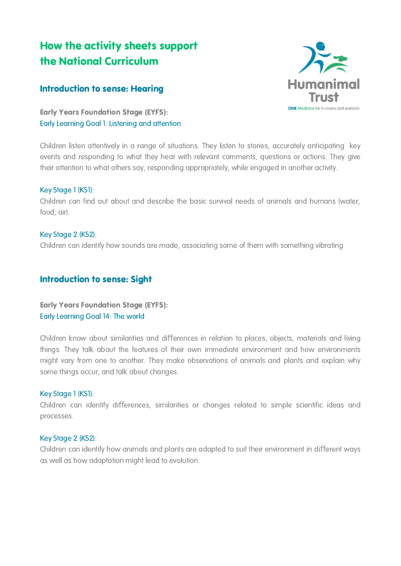# How the activity sheets support the National Curriculum

## Introduction to sense: Hearing

Early Years Foundation Stage (EYFS): Early Learning Goal 1: Listening and attention

Children listen attentively in a range of situations. They listen to stories, accurately anticipating key events and responding to what they hear with relevant comments, questions or actions. They give their attention to what others say, responding appropriately, while engaged in another activity.

## Key Stage 1 (KS1):

Children can find out about and describe the basic survival needs of animals and humans (water, food, air).

## Key Stage 2 (KS2):

Children can identify how sounds are made, associating some of them with something vibrating

## Introduction to sense: Sight

## Early Years Foundation Stage (EYFS): Early Learning Goal 14: The world

Children know about similarities and differences in relation to places, objects, materials and living things. They talk about the features of their own immediate environment and how environments might vary from one to another. They make observations of animals and plants and explain why some things occur, and talk about changes.

#### Key Stage 1 (KS1):

Children can identify differences, similarities or changes related to simple scientific ideas and processes.

#### Key Stage 2 (KS2):

Children can identify how animals and plants are adapted to suit their environment in different ways as well as how adaptation might lead to evolution.

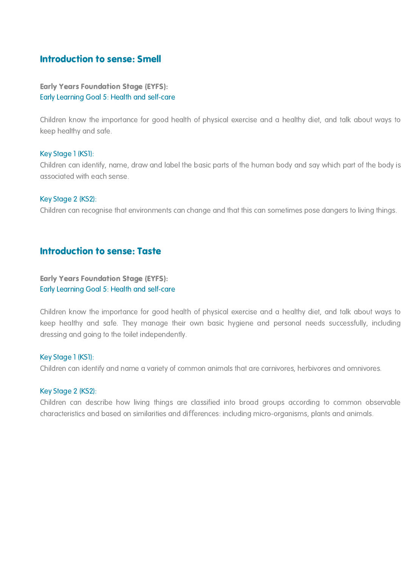# Introduction to sense: Smell

Early Years Foundation Stage (EYFS): Early Learning Goal 5: Health and self-care

Children know the importance for good health of physical exercise and a healthy diet, and talk about ways to keep healthy and safe.

#### Key Stage 1 (KS1):

Children can identify, name, draw and label the basic parts of the human body and say which part of the body is associated with each sense.

#### Key Stage 2 (KS2):

Children can recognise that environments can change and that this can sometimes pose dangers to living things.

## Introduction to sense: Taste

## Early Years Foundation Stage (EYFS): Early Learning Goal 5: Health and self-care

Children know the importance for good health of physical exercise and a healthy diet, and talk about ways to keep healthy and safe. They manage their own basic hygiene and personal needs successfully, including dressing and going to the toilet independently.

#### Key Stage 1 (KS1):

Children can identify and name a variety of common animals that are carnivores, herbivores and omnivores.

#### Key Stage 2 (KS2):

Children can describe how living things are classified into broad groups according to common observable characteristics and based on similarities and differences: including micro-organisms, plants and animals.